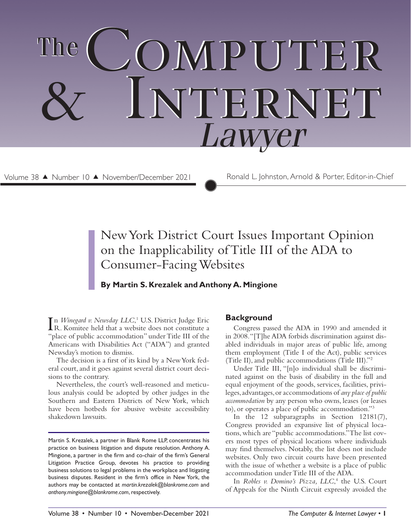# COMPUTER Internet & Internet  *Lawyer* The

Volume 38 ▲ Number 10 ▲ November/December 2021

Ronald L. Johnston, Arnold & Porter, Editor-in-Chief

## New York District Court Issues Important Opinion on the Inapplicability of Title III of the ADA to Consumer-Facing Websites

### **By Martin S. Krezalek and Anthony A. Mingione**

In *Winegard v. Newsday LLC*,<sup>1</sup> U.S. District Judge Eric<br>R. Komitee held that a website does not constitute a R. Komitee held that a website does not constitute a "place of public accommodation" under Title III of the Americans with Disabilities Act ("ADA") and granted Newsday's motion to dismiss.

The decision is a first of its kind by a New York federal court, and it goes against several district court decisions to the contrary.

Nevertheless, the court's well-reasoned and meticulous analysis could be adopted by other judges in the Southern and Eastern Districts of New York, which have been hotbeds for abusive website accessibility shakedown lawsuits.

#### **Background**

Congress passed the ADA in 1990 and amended it in 2008. "[T]he ADA forbids discrimination against disabled individuals in major areas of public life, among them employment (Title I of the Act), public services (Title II), and public accommodations (Title III)."2

Under Title III, "[n]o individual shall be discriminated against on the basis of disability in the full and equal enjoyment of the goods, services, facilities, privileges, advantages, or accommodations of *any place of public accommodation* by any person who owns, leases (or leases to), or operates a place of public accommodation."3

In the 12 subparagraphs in Section 12181(7), Congress provided an expansive list of physical locations, which are "public accommodations." The list covers most types of physical locations where individuals may find themselves. Notably, the list does not include websites. Only two circuit courts have been presented with the issue of whether a website is a place of public accommodation under Title III of the ADA.

In *Robles v. Domino's Pizza, LLC*, 4 the U.S. Court of Appeals for the Ninth Circuit expressly avoided the

Martin S. Krezalek, a partner in Blank Rome LLP, concentrates his practice on business litigation and dispute resolution. Anthony A. Mingione, a partner in the firm and co-chair of the firm's General Litigation Practice Group, devotes his practice to providing business solutions to legal problems in the workplace and litigating business disputes. Resident in the firm's office in New York, the authors may be contacted at *martin.krezalek@blankrome.com* and *anthony.mingione@blankrome.com*, respectively.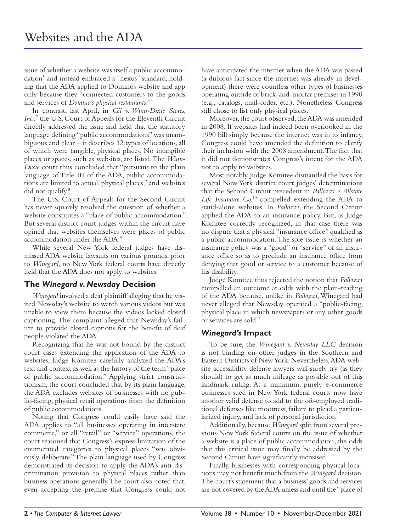issue of whether a website was itself a public accommodation<sup>5</sup> and instead embraced a "nexus" standard, holding that the ADA applied to Dominos website and app only because they "connected customers to the goods and services of *Domino's physical restaurants*."6

In contrast, last April, in *Gil v. Winn-Dixie Stores,*  Inc.,<sup>7</sup> the U.S. Court of Appeals for the Eleventh Circuit directly addressed the issue and held that the statutory language defining "public accommodations" was unambiguous and clear – it describes 12 types of locations, all of which were tangible, physical places. No intangible places or spaces, such as websites, are listed. The *Winn-Dixie* court thus concluded that "pursuant to the plain language of Title III of the ADA, public accommodations are limited to actual, physical places," and websites did not qualify.<sup>8</sup>

The U.S. Court of Appeals for the Second Circuit has never squarely resolved the question of whether a website constitutes a "place of public accommodation." But several district court judges within the circuit have opined that websites themselves were places of public accommodation under the ADA.9

While several New York federal judges have dismissed ADA website lawsuits on various grounds, prior to *Winegard*, no New York federal courts have directly held that the ADA does not apply to websites.

#### **The** *Winegard v. Newsday* **Decision**

*Winegard* involved a deaf plaintiff alleging that he visited Newsday's website to watch various videos but was unable to view them because the videos lacked closed captioning. The complaint alleged that Newsday's failure to provide closed captions for the benefit of deaf people violated the ADA.

Recognizing that he was not bound by the district court cases extending the application of the ADA to websites, Judge Komitee carefully analyzed the ADA's text and context as well as the history of the term "place of public accommodation." Applying strict constructionism, the court concluded that by its plain language, the ADA excludes websites of businesses with no public-facing, physical retail operations from the definition of public accommodations.

Noting that Congress could easily have said the ADA applies to "all businesses operating in interstate commerce," or all "retail" or "service" operations, the court reasoned that Congress's express limitation of the enumerated categories to physical places "was obviously deliberate." The plain language used by Congress demonstrated its decision to apply the ADA's anti-discrimination provision to physical places rather than business operations generally. The court also noted that, even accepting the premise that Congress could not have anticipated the internet when the ADA was passed (a dubious fact since the internet was already in development) there were countless other types of businesses operating outside of brick-and-mortar premises in 1990 (e.g., catalogs, mail-order, etc.). Nonetheless Congress still chose to list only physical places.

Moreover, the court observed, the ADA was amended in 2008. If websites had indeed been overlooked in the 1990 bill simply because the internet was in its infancy, Congress could have amended the definition to clarify their inclusion with the 2008 amendment. The fact that it did not demonstrates Congress's intent for the ADA not to apply to websites.

Most notably, Judge Komitee dismantled the basis for several New York district court judges' determinations that the Second Circuit precedent in *Pallozzi v. Allstate Life Insurance Co.*10 compelled extending the ADA to stand-alone websites. In *Pallozzi*, the Second Circuit applied the ADA to an insurance policy. But, as Judge Komitee correctly recognized, in that case there was no dispute that a physical "insurance office" qualified as a public accommodation. The sole issue is whether an insurance policy was a "good" or "service" of an insurance office so as to preclude an insurance office from denying that good or service to a customer because of his disability.

Judge Komitee thus rejected the notion that *Pallozzi* compelled an outcome at odds with the plain-reading of the ADA because, unlike in *Pallozzi*, Winegard had never alleged that Newsday operated a "public-facing, physical place in which newspapers or any other goods or services are sold."

#### *Winegard's* **Impact**

To be sure, the *Winegard v. Newsday LLC* decision is not binding on other judges in the Southern and Eastern Districts of New York. Nevertheless, ADA website accessibility defense lawyers will surely try (as they should) to get as much mileage as possible out of this landmark ruling. At a minimum, purely e-commerce businesses sued in New York federal courts now have another valid defense to add to the oft-employed traditional defenses like mootness, failure to plead a particularized injury, and lack of personal jurisdiction.

Additionally, because *Winegard* split from several previous New York federal courts on the issue of whether a website is a place of public accommodation, the odds that this critical issue may finally be addressed by the Second Circuit have significantly increased.

Finally, businesses with corresponding physical locations may not benefit much from the *Winegard* decision. The court's statement that a business' goods and services are not covered by the ADA unless and until the "place of